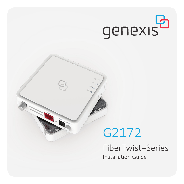# genexis<sup>a</sup>

## G2172

FiberTwist–Series Installation Guide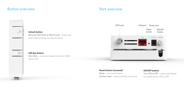## Button overview **Port overview**



### Turn ON or OFF – press and release to switch device ON or OFF

ON/OFF button

POWER ON/OFF

Reset<br>hutton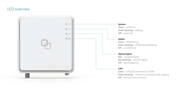## LED overview

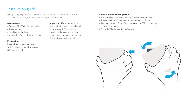## Installation guide

Multiple languages of this document and additional product information are available on https://genexis.eu/download-portal/#fibertwist

#### **Box contents**

- Genexis FiberTwist (active device)
- Power adapter
- Label (self-adhesive)
- Installation Guide (this document)

#### **Preparation**

Ensure there is a power socket within reach of where the device is being installed.

**Important:** These instructions need to be followed precisely and uninterrupted. This minimizes the risk of damage to the fiber optic connectors, causing a severe degradation of signal quality.

#### **Remove Blind Cover (if present)**

- Press and hold the unlock button (see button overview).
- Rotate the Blind Cover counterclockwise till it blocks.
- Remove the Blind Cover from the baseplate (FTU) by pulling it towards yourself.
- Store the Blind Cover in a safe place.

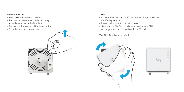#### **Remove dust cap**

- Take the FiberTwist out of the box.
- The dust cap is connected to the red string located on the rear of the FiberTwist.
- Remove the dust cap by pulling the red string.
- Store the dust cap in a safe place.



#### **Twist!**

- Place the FiberTwist on the FTU as shown in the picture below, in a 30–degree angle.
- Rotate clockwise until it clicks into place.
- Make sure the FiberTwist is aligned squarely on the FTU, each edge must line up directly with the FTU below.

Your FiberTwist is now installed!



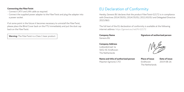- Connect CATV and LAN cable as required.
- Connect the supplied power adapter to the FiberTwist and plug the adapter into a power socket.

If at some point in the future it becomes necessary to uninstall the FiberTwist, please place the Blind Cover back on the FTU immediately and put the dust cap back on the FiberTwist.

Warning: The FiberTwist is a Class 1 laser product.

## EU Declaration of Conformity **Connecting the FiberTwist**

Hereby, Genexis B.V. declares that the product FiberTwist-G2172 is in compliance with Directives 2014/30/EU, 2014/35/EU, 2011/65/EU and Delegated Directive 2015/863.

The full text of the EU declaration of conformity is available at the following internet address: https://genexis.eu/red/ft-G2172

**Company Name** Genexis B.V.

#### **Company Address** Lodewijkstraat 1a 5652 AC Eindhoven The Netherlands

**Name and title of authorized person**

Maarten Egmond, CTO

**Signature of authorized person**

**Place of issue Date of issue** Eindhoven 2019-08-26 The Netherlands